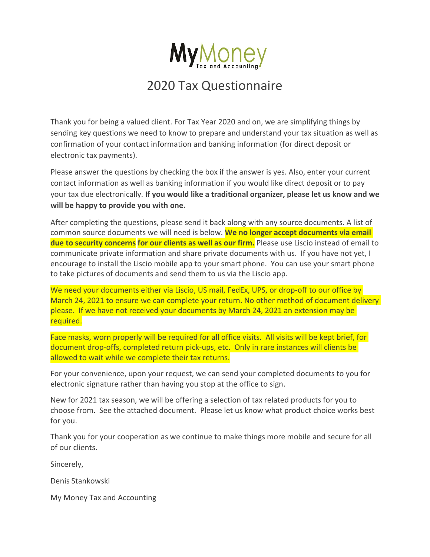

## 2020 Tax Questionnaire

Thank you for being a valued client. For Tax Year 2020 and on, we are simplifying things by sending key questions we need to know to prepare and understand your tax situation as well as confirmation of your contact information and banking information (for direct deposit or electronic tax payments).

Please answer the questions by checking the box if the answer is yes. Also, enter your current contact information as well as banking information if you would like direct deposit or to pay your tax due electronically. **If you would like a traditional organizer, please let us know and we will be happy to provide you with one.** 

After completing the questions, please send it back along with any source documents. A list of common source documents we will need is below. **We no longer accept documents via email due to security concerns for our clients as well as our firm.** Please use Liscio instead of email to communicate private information and share private documents with us. If you have not yet, I encourage to install the Liscio mobile app to your smart phone. You can use your smart phone to take pictures of documents and send them to us via the Liscio app.

We need your documents either via Liscio, US mail, FedEx, UPS, or drop-off to our office by March 24, 2021 to ensure we can complete your return. No other method of document delivery please. If we have not received your documents by March 24, 2021 an extension may be required.

Face masks, worn properly will be required for all office visits. All visits will be kept brief, for document drop-offs, completed return pick-ups, etc. Only in rare instances will clients be allowed to wait while we complete their tax returns.

For your convenience, upon your request, we can send your completed documents to you for electronic signature rather than having you stop at the office to sign.

New for 2021 tax season, we will be offering a selection of tax related products for you to choose from. See the attached document. Please let us know what product choice works best for you.

Thank you for your cooperation as we continue to make things more mobile and secure for all of our clients.

Sincerely,

Denis Stankowski

My Money Tax and Accounting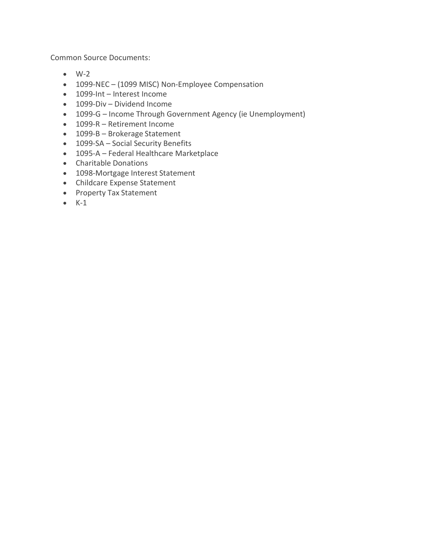Common Source Documents:

- $\bullet$  W-2
- 1099-NEC (1099 MISC) Non-Employee Compensation
- 1099-Int Interest Income
- 1099-Div Dividend Income
- 1099-G Income Through Government Agency (ie Unemployment)
- 1099-R Retirement Income
- 1099-B Brokerage Statement
- 1099-SA Social Security Benefits
- 1095-A Federal Healthcare Marketplace
- Charitable Donations
- 1098-Mortgage Interest Statement
- Childcare Expense Statement
- Property Tax Statement
- $\bullet$  K-1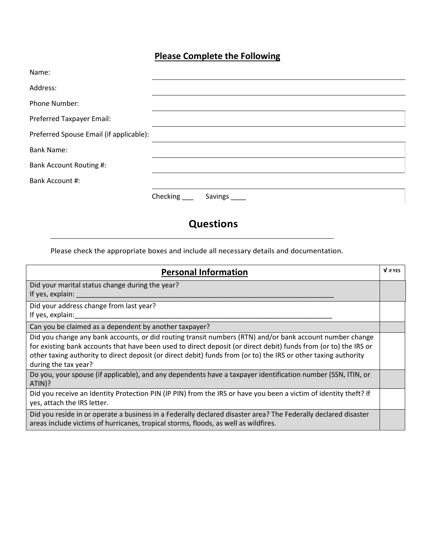## **Please Complete the Following**

| Name:                                   |                     |
|-----------------------------------------|---------------------|
| Address:                                |                     |
| Phone Number:                           |                     |
| Preferred Taxpayer Email:               |                     |
| Preferred Spouse Email (if applicable): |                     |
| <b>Bank Name:</b>                       |                     |
| Bank Account Routing #:                 |                     |
| Bank Account #:                         |                     |
|                                         | Checking<br>Savings |

## **Questions**

Please check the appropriate boxes and include all necessary details and documentation.

| <b>Personal Information</b>                                                                                                                                                                                                                                                                                                                                             | V if YES |
|-------------------------------------------------------------------------------------------------------------------------------------------------------------------------------------------------------------------------------------------------------------------------------------------------------------------------------------------------------------------------|----------|
| Did your marital status change during the year?<br>If yes, explain:                                                                                                                                                                                                                                                                                                     |          |
| Did your address change from last year?<br>If yes, explain:                                                                                                                                                                                                                                                                                                             |          |
| Can you be claimed as a dependent by another taxpayer?                                                                                                                                                                                                                                                                                                                  |          |
| Did you change any bank accounts, or did routing transit numbers (RTN) and/or bank account number change<br>for existing bank accounts that have been used to direct deposit (or direct debit) funds from (or to) the IRS or<br>other taxing authority to direct deposit (or direct debit) funds from (or to) the IRS or other taxing authority<br>during the tax year? |          |
| Do you, your spouse (if applicable), and any dependents have a taxpayer identification number (SSN, ITIN, or<br>ATIN)?                                                                                                                                                                                                                                                  |          |
| Did you receive an Identity Protection PIN (IP PIN) from the IRS or have you been a victim of identity theft? If<br>yes, attach the IRS letter.                                                                                                                                                                                                                         |          |
| Did you reside in or operate a business in a Federally declared disaster area? The Federally declared disaster<br>areas include victims of hurricanes, tropical storms, floods, as well as wildfires.                                                                                                                                                                   |          |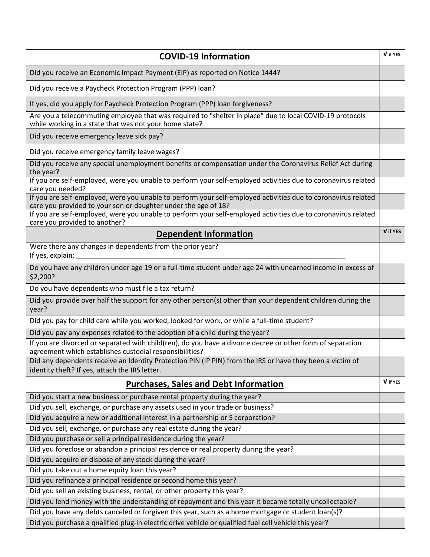| <b>COVID-19 Information</b>                                                                                                                                                     | V if YES |
|---------------------------------------------------------------------------------------------------------------------------------------------------------------------------------|----------|
| Did you receive an Economic Impact Payment (EIP) as reported on Notice 1444?                                                                                                    |          |
| Did you receive a Paycheck Protection Program (PPP) loan?                                                                                                                       |          |
| If yes, did you apply for Paycheck Protection Program (PPP) loan forgiveness?                                                                                                   |          |
| Are you a telecommuting employee that was required to "shelter in place" due to local COVID-19 protocols<br>while working in a state that was not your home state?              |          |
| Did you receive emergency leave sick pay?                                                                                                                                       |          |
| Did you receive emergency family leave wages?                                                                                                                                   |          |
| Did you receive any special unemployment benefits or compensation under the Coronavirus Relief Act during<br>the year?                                                          |          |
| If you are self-employed, were you unable to perform your self-employed activities due to coronavirus related<br>care you needed?                                               |          |
| If you are self-employed, were you unable to perform your self-employed activities due to coronavirus related<br>care you provided to your son or daughter under the age of 18? |          |
| If you are self-employed, were you unable to perform your self-employed activities due to coronavirus related<br>care you provided to another?                                  |          |
| <b>Dependent Information</b>                                                                                                                                                    | V if YES |
| Were there any changes in dependents from the prior year?<br>If yes, explain:                                                                                                   |          |
| Do you have any children under age 19 or a full-time student under age 24 with unearned income in excess of<br>\$2,200?                                                         |          |
| Do you have dependents who must file a tax return?                                                                                                                              |          |
| Did you provide over half the support for any other person(s) other than your dependent children during the<br>year?                                                            |          |
| Did you pay for child care while you worked, looked for work, or while a full-time student?                                                                                     |          |
| Did you pay any expenses related to the adoption of a child during the year?                                                                                                    |          |
| If you are divorced or separated with child(ren), do you have a divorce decree or other form of separation<br>agreement which establishes custodial responsibilities?           |          |
| Did any dependents receive an Identity Protection PIN (IP PIN) from the IRS or have they been a victim of<br>identity theft? If yes, attach the IRS letter.                     |          |
| <b>Purchases, Sales and Debt Information</b>                                                                                                                                    | V if YES |
| Did you start a new business or purchase rental property during the year?                                                                                                       |          |
| Did you sell, exchange, or purchase any assets used in your trade or business?                                                                                                  |          |
| Did you acquire a new or additional interest in a partnership or S corporation?                                                                                                 |          |
| Did you sell, exchange, or purchase any real estate during the year?                                                                                                            |          |
| Did you purchase or sell a principal residence during the year?                                                                                                                 |          |
| Did you foreclose or abandon a principal residence or real property during the year?                                                                                            |          |
| Did you acquire or dispose of any stock during the year?                                                                                                                        |          |
| Did you take out a home equity loan this year?                                                                                                                                  |          |
| Did you refinance a principal residence or second home this year?                                                                                                               |          |
| Did you sell an existing business, rental, or other property this year?                                                                                                         |          |
| Did you lend money with the understanding of repayment and this year it became totally uncollectable?                                                                           |          |
| Did you have any debts canceled or forgiven this year, such as a home mortgage or student loan(s)?                                                                              |          |
| Did you purchase a qualified plug-in electric drive vehicle or qualified fuel cell vehicle this year?                                                                           |          |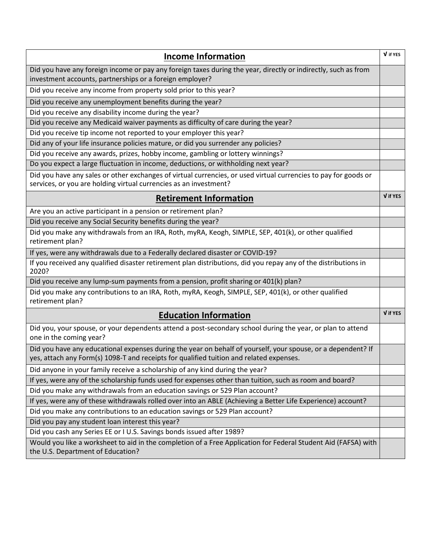| <b>Income Information</b>                                                                                                                                                                               | V if YES |
|---------------------------------------------------------------------------------------------------------------------------------------------------------------------------------------------------------|----------|
| Did you have any foreign income or pay any foreign taxes during the year, directly or indirectly, such as from<br>investment accounts, partnerships or a foreign employer?                              |          |
| Did you receive any income from property sold prior to this year?                                                                                                                                       |          |
| Did you receive any unemployment benefits during the year?                                                                                                                                              |          |
| Did you receive any disability income during the year?                                                                                                                                                  |          |
| Did you receive any Medicaid waiver payments as difficulty of care during the year?                                                                                                                     |          |
| Did you receive tip income not reported to your employer this year?                                                                                                                                     |          |
| Did any of your life insurance policies mature, or did you surrender any policies?                                                                                                                      |          |
| Did you receive any awards, prizes, hobby income, gambling or lottery winnings?                                                                                                                         |          |
| Do you expect a large fluctuation in income, deductions, or withholding next year?                                                                                                                      |          |
| Did you have any sales or other exchanges of virtual currencies, or used virtual currencies to pay for goods or<br>services, or you are holding virtual currencies as an investment?                    |          |
| <b>Retirement Information</b>                                                                                                                                                                           | V if YES |
| Are you an active participant in a pension or retirement plan?                                                                                                                                          |          |
| Did you receive any Social Security benefits during the year?                                                                                                                                           |          |
| Did you make any withdrawals from an IRA, Roth, myRA, Keogh, SIMPLE, SEP, 401(k), or other qualified<br>retirement plan?                                                                                |          |
| If yes, were any withdrawals due to a Federally declared disaster or COVID-19?                                                                                                                          |          |
| If you received any qualified disaster retirement plan distributions, did you repay any of the distributions in<br>2020?                                                                                |          |
| Did you receive any lump-sum payments from a pension, profit sharing or 401(k) plan?                                                                                                                    |          |
| Did you make any contributions to an IRA, Roth, myRA, Keogh, SIMPLE, SEP, 401(k), or other qualified<br>retirement plan?                                                                                |          |
| <b>Education Information</b>                                                                                                                                                                            | V if YES |
| Did you, your spouse, or your dependents attend a post-secondary school during the year, or plan to attend<br>one in the coming year?                                                                   |          |
| Did you have any educational expenses during the year on behalf of yourself, your spouse, or a dependent? If<br>yes, attach any Form(s) 1098-T and receipts for qualified tuition and related expenses. |          |
| Did anyone in your family receive a scholarship of any kind during the year?                                                                                                                            |          |
| If yes, were any of the scholarship funds used for expenses other than tuition, such as room and board?                                                                                                 |          |
| Did you make any withdrawals from an education savings or 529 Plan account?                                                                                                                             |          |
| If yes, were any of these withdrawals rolled over into an ABLE (Achieving a Better Life Experience) account?                                                                                            |          |
| Did you make any contributions to an education savings or 529 Plan account?                                                                                                                             |          |
| Did you pay any student loan interest this year?                                                                                                                                                        |          |
| Did you cash any Series EE or I U.S. Savings bonds issued after 1989?                                                                                                                                   |          |
| Would you like a worksheet to aid in the completion of a Free Application for Federal Student Aid (FAFSA) with<br>the U.S. Department of Education?                                                     |          |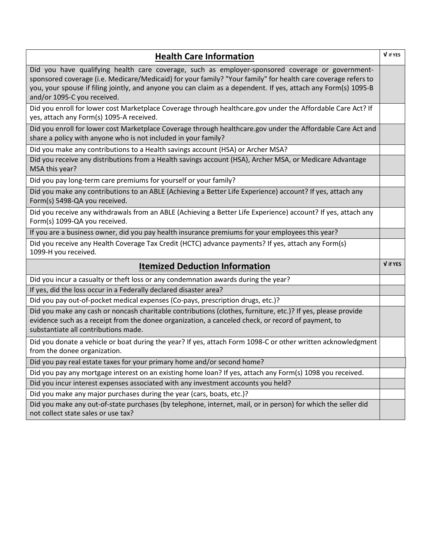| <b>Health Care Information</b>                                                                                                                                                                                                                                                                                                                                     | V if YES |  |
|--------------------------------------------------------------------------------------------------------------------------------------------------------------------------------------------------------------------------------------------------------------------------------------------------------------------------------------------------------------------|----------|--|
| Did you have qualifying health care coverage, such as employer-sponsored coverage or government-<br>sponsored coverage (i.e. Medicare/Medicaid) for your family? "Your family" for health care coverage refers to<br>you, your spouse if filing jointly, and anyone you can claim as a dependent. If yes, attach any Form(s) 1095-B<br>and/or 1095-C you received. |          |  |
| Did you enroll for lower cost Marketplace Coverage through healthcare.gov under the Affordable Care Act? If<br>yes, attach any Form(s) 1095-A received.                                                                                                                                                                                                            |          |  |
| Did you enroll for lower cost Marketplace Coverage through healthcare.gov under the Affordable Care Act and<br>share a policy with anyone who is not included in your family?                                                                                                                                                                                      |          |  |
| Did you make any contributions to a Health savings account (HSA) or Archer MSA?                                                                                                                                                                                                                                                                                    |          |  |
| Did you receive any distributions from a Health savings account (HSA), Archer MSA, or Medicare Advantage<br>MSA this year?                                                                                                                                                                                                                                         |          |  |
| Did you pay long-term care premiums for yourself or your family?                                                                                                                                                                                                                                                                                                   |          |  |
| Did you make any contributions to an ABLE (Achieving a Better Life Experience) account? If yes, attach any<br>Form(s) 5498-QA you received.                                                                                                                                                                                                                        |          |  |
| Did you receive any withdrawals from an ABLE (Achieving a Better Life Experience) account? If yes, attach any<br>Form(s) 1099-QA you received.                                                                                                                                                                                                                     |          |  |
| If you are a business owner, did you pay health insurance premiums for your employees this year?                                                                                                                                                                                                                                                                   |          |  |
| Did you receive any Health Coverage Tax Credit (HCTC) advance payments? If yes, attach any Form(s)<br>1099-H you received.                                                                                                                                                                                                                                         |          |  |
| <b>Itemized Deduction Information</b>                                                                                                                                                                                                                                                                                                                              | V if YES |  |
| Did you incur a casualty or theft loss or any condemnation awards during the year?                                                                                                                                                                                                                                                                                 |          |  |
| If yes, did the loss occur in a Federally declared disaster area?                                                                                                                                                                                                                                                                                                  |          |  |
| Did you pay out-of-pocket medical expenses (Co-pays, prescription drugs, etc.)?                                                                                                                                                                                                                                                                                    |          |  |
| Did you make any cash or noncash charitable contributions (clothes, furniture, etc.)? If yes, please provide<br>evidence such as a receipt from the donee organization, a canceled check, or record of payment, to<br>substantiate all contributions made.                                                                                                         |          |  |
| Did you donate a vehicle or boat during the year? If yes, attach Form 1098-C or other written acknowledgment<br>from the donee organization.                                                                                                                                                                                                                       |          |  |
| Did you pay real estate taxes for your primary home and/or second home?                                                                                                                                                                                                                                                                                            |          |  |
| Did you pay any mortgage interest on an existing home loan? If yes, attach any Form(s) 1098 you received.                                                                                                                                                                                                                                                          |          |  |
| Did you incur interest expenses associated with any investment accounts you held?                                                                                                                                                                                                                                                                                  |          |  |
| Did you make any major purchases during the year (cars, boats, etc.)?                                                                                                                                                                                                                                                                                              |          |  |
| Did you make any out-of-state purchases (by telephone, internet, mail, or in person) for which the seller did<br>not collect state sales or use tax?                                                                                                                                                                                                               |          |  |